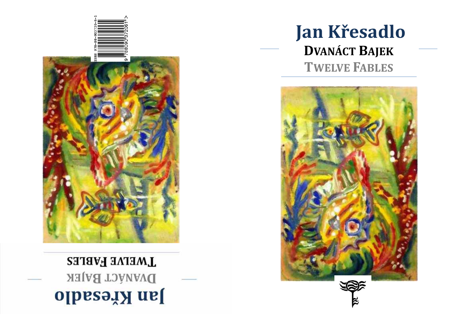# **LMETAE EVBTE2 DVANÁCT BAJEK** Jan Křesadlo





# **Jan Křesadlo DVANÁCT BAJEK TWELVE FABLES**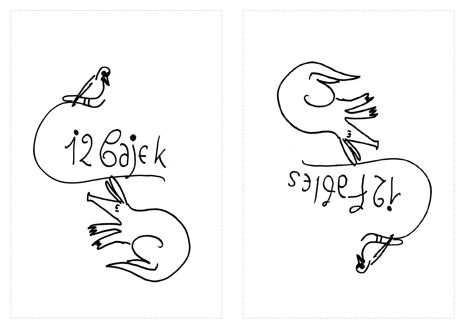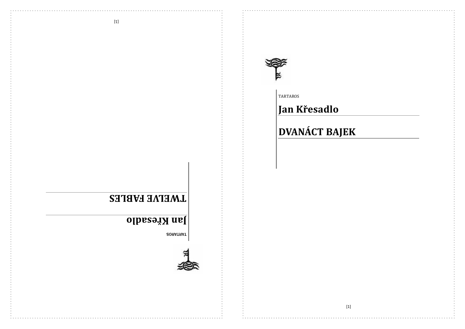

**TARTAROS** 

**Jan Kesadlo** 

**DVANÁCT BAJEK** 

## **TWELVE FABLES**

 $[I]$ 

**Jan Kesadlo** 

**ZORATRAT** 

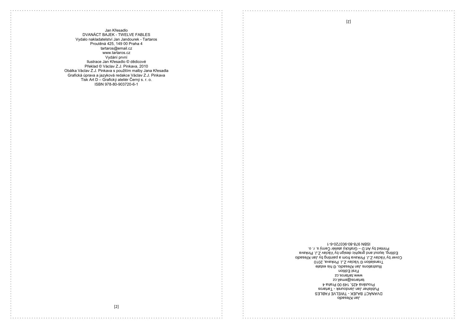Jan Křesadlo DVANÁCT BAJEK - TWELVE FABLES Vydalo nakladatelství Jan Jandourek - Tartaros Proutěná 425, 149 00 Praha 4 tartaros@email.cz www.tartaros.cz Vydání první llustrace Jan Křesadlo © dědicové Překlad © Václav Z.J. Pinkava, 2010 Obálka Václav Z.J. Pinkava s použitím malby Jana Křesadla Grafická úprava a jazyková redakce Václav Z.J. Pinkava Tisk Art D – Grafický ateliér Černý s. r. o. ISBN 978-80-903720-6-1

> Jan K-esadlo DVANÁCT BAJEK - TWELVE FABLES Publisher Jan Jandourek - Tartaros Proutěná 425, 149 00 Praha 4 tartaros@email.cz www.tartaros.cz First Edition Illustrations Jan K-esadlo, © his estate Translation © Václav Z.J. Pinkava, 2010 Cover by Václav Z.J. Pinkava from a painting by Jan K-esadlo Editing, layout and graphic design by Václav Z.J. Pinkava Printed by Art D – Grafický ateliér Cerný s. r. o. ISBN 978-80-903720-6-1

 $[z]$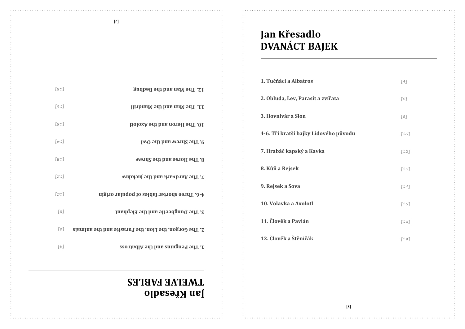## **Jan Kesadlo TWELVE FABLES**

| 12. The Man and the Bedbug                            | [8t]              |
|-------------------------------------------------------|-------------------|
| llinbusM odt bus nsM odT. 11                          | [9t]              |
| 10 The Heron and the Axolotl                          | [5t]              |
| 9. The Shrew and the Owl                              | $[†\tau]$         |
| <b>We Horse and the Shrew</b>                         | $[\epsilon \tau]$ |
| 7. The Aardvark and the Jackdaw                       | $[\tau \tau]$     |
| 4-6. Three shorter fables of popular origin           | [OT]              |
| 3. The Dungbeetle and the Elephant                    | $\lceil 8 \rceil$ |
| 2. The Gorgon, the Lion, the Parasite and the animals | [9]               |
| 1. The Penguins and the Albatross                     | $[\n\downarrow]$  |

| 1. Tučňáci a Albatros                 | $[4]$                                                                                                                                                                                                                                                                                                                                                                                                                                                                                                                                                             |
|---------------------------------------|-------------------------------------------------------------------------------------------------------------------------------------------------------------------------------------------------------------------------------------------------------------------------------------------------------------------------------------------------------------------------------------------------------------------------------------------------------------------------------------------------------------------------------------------------------------------|
| 2. Obluda, Lev, Parasit a zvířata     | $[6] \centering% \includegraphics[width=1.0\textwidth]{figs/fig_4a1.pdf} \includegraphics[width=1.0\textwidth]{figs/fig_4b1.pdf} \includegraphics[width=1.0\textwidth]{figs/fig_4b1.pdf} \includegraphics[width=1.0\textwidth]{figs/fig_4b1.pdf} \includegraphics[width=1.0\textwidth]{figs/fig_4b1.pdf} \includegraphics[width=1.0\textwidth]{figs/fig_4b1.pdf} \includegraphics[width=1.0\textwidth]{figs/fig_4b1.pdf} \includegraphics[width=1.0\textwidth]{figs/fig_4b1.pdf} \includegraphics[width=1.0\textwidth]{figs/fig_4b1.pdf} \includegraphics[width=$ |
| 3. Hovnivár a Slon                    | [8]                                                                                                                                                                                                                                                                                                                                                                                                                                                                                                                                                               |
| 4-6. Tři kratší bajky Lidového původu | [10]                                                                                                                                                                                                                                                                                                                                                                                                                                                                                                                                                              |
| 7. Hrabáč kapský a Kavka              | $[12]$                                                                                                                                                                                                                                                                                                                                                                                                                                                                                                                                                            |
| 8. Kůň a Rejsek                       | [13]                                                                                                                                                                                                                                                                                                                                                                                                                                                                                                                                                              |
| 9. Rejsek a Sova                      | [14]                                                                                                                                                                                                                                                                                                                                                                                                                                                                                                                                                              |
| 10. Volavka a Axolotl                 | $[15]$                                                                                                                                                                                                                                                                                                                                                                                                                                                                                                                                                            |
| 11. Člověk a Pavián                   | $[16]$                                                                                                                                                                                                                                                                                                                                                                                                                                                                                                                                                            |
|                                       |                                                                                                                                                                                                                                                                                                                                                                                                                                                                                                                                                                   |

**12. Člověk a Štěničák branderského kapital (18)** 

## Jan Křesadlo **DVANÁCT BAJEK**

[3]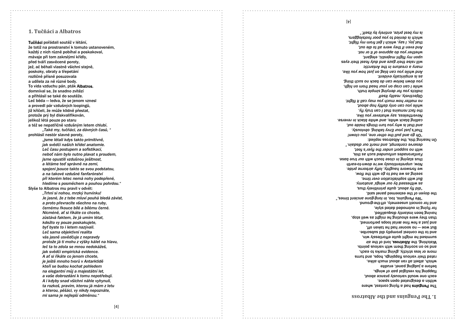| 1. The Penguins and the Albatross |
|-----------------------------------|
|                                   |

The Penguins had a flying contest, where within a deaignated open space, eacu oue monig nauonal) busines apont, flapping his vestigial pair of wings, before a judging panel, erudite which, albeit all ran about much alike, rated their various flappings, and turns more or less strictly, giving marks to each, and so ought with with various with various points. Watching, the **Albatross**, lord of the air surmised he might quite effortlessly win, and to the contest promptly did subscribe. But woe — no sooner had he taken off, and just a few fine ærial loops performed, than they were shouting he might as well stop, having been instantly disqualified, for flying in outmoded dated style, and for conceit unseemely, off-the-ground. *"We Penguins, too, in long-gone ancient times,"*  the doyen of the esteemed panel said, *"did fly about, quite primitively thus, as withessed by our wings' anatomy. But with sophistication over time, seeing as we had to go with the flow, we forswore haughty, lofty airborne pride. Now, unpretentiously we're down-to-earth thus staying in close touch with our true base. Fanfaronades unfounded such as this, with no support under the flyer's feet, deserve contempt, and merit our disdain."*  On hearing this, the Albatross replied: *"Oh go and pull the other one, you clown! That's just your Envy talking, obviously, and that is why you turn things inside out, calling black white, and white black in reverse. Nevertheless, say whatever you like, the fact remains that I can truly fly, while you can only daftly hop about, no matter how much you may call it flight. Objectively, reality itself indicts you for denying simple truth, while I can crap on your head from on high, you down below can do back no such thing, as is empirically evident. And while you can blag on just how you like, many a creature in the Antarctic will raise their gaze and duly feast their eyes upon my flight majestic, elegant, whether you do approve of it or not. And even if they were all to die out, that joy, I say, which I get from my flight, which is denied to you poor footsloggers,*  **1. Tuáci a Albatros** *is my best prize, entirely by itself."* 

**Tučňáci** pořádali soutěž v létání, že totiž na prostranství k tomuto ustanoveném, každý z nich různě pobíhal a poskakoval. mávaje při tom zakrslými křídly. před tváří zasvěcené poroty, jež, ač běhali vlastně všichni stejně, poskoky, obraty a třepetání rozličně přísně posuzovala a udílela za ně různé body. To vida vzduchu pán, pták **Albatros**, domníval se, že snadno zvítězí a přihlásil se také do soutěže. Leč běda – ledva, že se jenom vznesl a provedl pár vzdušných loopingů, již křičeli, že může klidně přestat, protože prý byl diskvalifikován, jelikož létá pouze po staru a též se nepatřičně vzdušným letem chlubí. "Také my, tučňáci, za dávných časů, " prohlásil nestór slavné poroty, *"jsme létali kdys takto primitivn, jak svd-í našich kídel anatomie. Le- -asu postupem a sofistikací, nebo nám bylo nutno plavat s proudem, jsme opustili vzdušnou ješitnost, a létáme teď správně na zemi. spojeni jsouce takto se svou podstatou, a na takové vzdušné fanfarónství pi kterém letec nemá nohy podepené,*  hledíme s posměchem a pouhou pohrdou.<sup>"</sup> Slyše to Albatros mu pravil v odvět: *"Trhni si nohou, mrzký hurvínku! Je jasné, že z tebe mluví pouhá bledá závist, a proto pevracíte všechno na ruby,*  černému řkouce bílé a bílému černé. *Nicméně, ať si říkáte co chcete.* zůstává faktem, že já umím létat. *kdežto vy pouze poskakujete, by byste to i letem nazývali. Le- sama objektivní realita*  vás jasně usvědčuje z nepravdy *protože já ti mohu z výšky kálet na hlavu, leč ta to zdola se mnou nedokážeš, jak svd-í empirická evidence. A a si íkáte co jenom chcete, je ještě mnoho tvorů v Antarktidě kteí se budou kochat pohledem na elegantní mj a majestátní let, a vaše dobrozdání k tomu nepotebují. A i kdyby snad všichni náhle vyhynuli, ta rozkoš, pravím, kterou já mám z letu a kterou, pšáci, vy nikdy nepoznáte, mi sama je nejlepší odměnou."*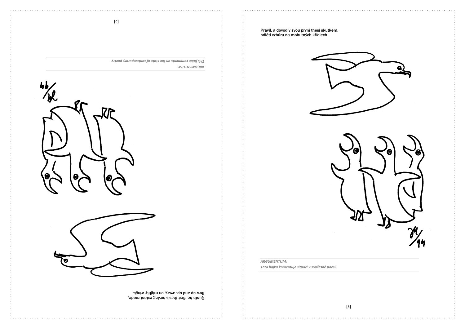Pravil, a dovodiv svou první thesi skutkem, odlétl vzhůru na mohutných křídlech.

. . . . . . . . . . . . . .





*ARGUMENTUM:* 

*Tato bajka komentuje situaci v sou-asné poesii.* 

[5]

*ARGUMENTUM: This fable comments on the state of contemporary poetry.* 





Quoth he, first thesis having extant made, flew me and wighty says is a wingle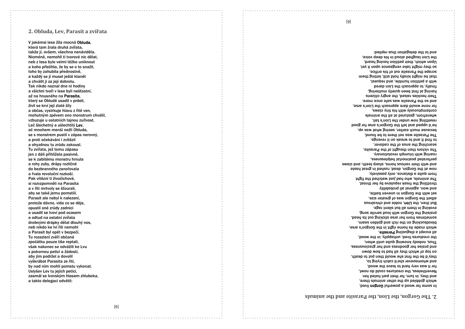### **2. The Gorgon, the Lion, the Parasite and the animals**

libevil **nog100** lumewoq a boow 1st emoa nl which gobbled up the other animals there, and they, in turn, for their part hated her. Nevertheless, the creatures could do nowt, for it was very hard to leave the wood, and whomsoever she'd catch trying to, they'd be the first she would then put to death, on top of which they all had to bow down and praise her goodness and her graciousness. I unas uopod) kunowing drife nitil when, the creatures lived, unhappily, in the wood, allesta a disgusting Parasite, which made its home right in the Gorgon's arse, bloodsucking on the rich and golden seam, sometimes from her arse sticking out its head, praising the Gorgon with loud servile song, evoking in them all but silent rage. But then, the Lion, noble and chivalrous albeit the Gorgon was of greater size, set with the Gorgon in uneven battle, and won, against all probability throttling the freak repulsive by her throat. Ingli and badgen the watched the fight from quite a distance, only passively, now at the Gorgon, dead, rushed in great haste and with their various horns, sharp teeth, and claws perforated postmortal helplessness, roaring with triumph revolutionary. The victors then thought of the Parasite, searching the anus of the cadaver, to find it and to wreak on it revenge. The Parasite was not there to be found, because much earlier, seeing what was up, he'd upped and left the Gorgon's arse for good resettling now under the Lion's tail, wherefrom, gestured at all the animals courewidusly with his tiny claws<sup>,</sup> for none would dare approach the Lion's arse, and so the Parasite was safe once more. Their heckles raised, the angry citizens having at first been quietly muttering, finally, to approach the Lion dared with a petition numble, and reduest, that he might kindly hold still, letting them scrape the Parasite out of his orifice, so they might take vengeance upon it yet. Upon which, their petition having heard, the Lion laughed aloud in his deep voice, and to the delegation thus replied:

**2. Obluda, Lev, Parasit a zvíata** 

V jakémsi lese žila mocná **Obluda**, která tam žrala druhá zvířata, takže jí, ovšem, všechna nenáviděla. Nicméně, nemohli ti tvorové nic dělat, neb z lesa bylo velmi těžko uniknout a koho přistihla, že by se o to snažil, toho by zahubila přednostně, a každý se jí musel ještě klanět a chválit ji za její dobrotu. Tak nikdo neznal dne ni hodiny a všichni tvoři v lese byli nešťastní. až na hnusného na **Parasita**, který se Obludě usadil v prdeli. živil se krví její zlaté žíly

a občas, vystrkuje hlavu z řitě ven, mohutným zpěvem ono monstrum chválil, vzbuzuje u ostatních tajnou zuřivost. Leč šlechetný a ušlechtilý **Lev**, ač mnohem menší nežli Obluda, se s monstrem pustil v zápas nerovný,

zasmál se lvovským hlasem zhluboka,

a takto delegaci odvětil:

a proti očekávání i zvítězil a ohyzdnou tu zrůdu zakousl. Tu zvířata, jež tomu zápasu jen z dáli přihlížela pasivně, se k zabitému monstru hrnula a rohy zuby, drápy rozličné do bezbranného zanořovala a řvala revoluční rozkoší. Pak vítězní ti živočichové, si rozvzpomněli na Parasita a v řiti mrtvolv se šťourali. aby se také jemu pomstili. Parasit ale nebyl k nalezení, protože dávno, vida co se děje. opustil oné zrůdy zadnici a usadil se lvovi pod ocasem a odtud na ostatní zvířata drobnými drápky dělal dlouhý nos. neb nikdo ke lví řiti nemohl a Parasit byl opět v bezpečí. Tu rozezlení zvěří občané zpočátku pouze tiše reptali, však nakonec se odvážili ke Lvu s pokornou peticí a žádostí, aby jim podržel a dovolil vyškrábat Parasita ze řiti. by nad ním mohli pomstu vykonat. Uslyšev Lev tu jejich petici,

[6]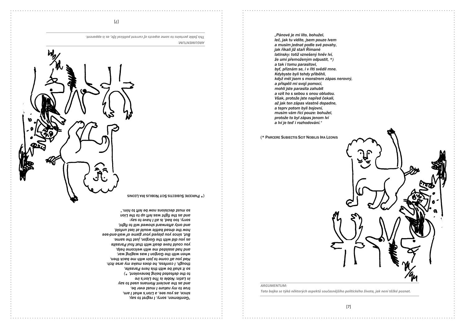(\* PARCERE SUBIECTIS SCIT NOBILIS IRA LEONIS

*ARGUMENTUM:* 

*"Pánové je mi líto, bohužel, leč, jak tu vidíte, jsem pouze lvem a musím jednat podle své povahy, jak íkali již staí ímané latinsky: totiž vznešený hněv lví, že umí přemoženým odpustit, \*) a tak i tomu parasitovi,*  byť, přiznám se, i v řiti svědil mne. Kdybyste byli tehdy přiběhli, *když ml jsem s monstrem zápas nerovný, a pispli mi svojí pomocí, mohli jste parasita zahubit a vzít ho s sebou s onou obludou. Však, protože jste napřed čekali, až jak ten zápas vlastn dopadne, a teprv potom byli bojovní, musím vám íci pouze: bohužel, protože to byl zápas jenom lví a lví je te i rozhodování."* 



 $(k + b)$ Hacere Subiectis Scit Nobilis Ira Leonis

*ARGUMENTUM:* 

*"Gentlemen, sorry, I regret to say, since, as you see, a Lion's what I am, true to my nature I must ever be, and as the ancient Romans used to say in Latin: Noble is The Lion's ire to the defeated being benevolent, \*) so it shall be with this here Parasite, though, I confess, he does make my arse itch. Had you all come to join with me back then, when with the Gorgon I was waging war, and had assisted me with welcome help, that foul Parasite you could have dealt with as you did with the Gorgon, just the same. But, since you played your game of wait-and-see how the dread battle would at last unfold, and only afterward showed will to fight, sorry, too bad, is all I have to say: and as the fight was left up to the Lion so must decisions now be left to him."* 

[7]

Tato bajka se týká některých aspektů současnějšího politického života, jak není těžké poznat.

 $\lceil \angle \rceil$ 

*This fable pertains to some aspects of current political life, as is apparent.*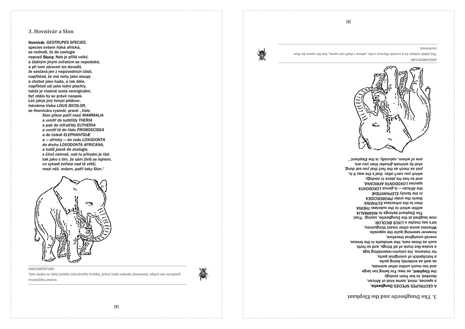### **3. The Dungbeetle and the Elephant**

#### A GEOTRUPES SPECIES Dungbeetle,

a species, mind, some kind of African, decided, to bar from zoology the Elephant, no less: For being too large and too much unlike other animals, as well as evidently being quite a hotchpotch of unoriginal parts, for instance, his column-resembling legs a snake-like trunk of all things, and so forth, such as those ears, like windsails in the breeze, overall unoriginal therefore, however seeming quite the opposite. Whereto some other insect thingummy, **LIXUS BICOLOR**, *LIXUS BICOLOR*, now laughed at the Dungbeetle, saying: "Fool. *The Elephant belongs to MAMMALIA within which to the subclass THERIA then to the infraclass EUTHERIA* 

*therin the order PROBOSCIDEA in the family ELEPHANTIDÆ the African — is genus LOXODONTA species LOXODONTA AFRICANA, and so has his place in zoology, which you can't alter, that's the way it is, just as much as the fact that you eat dung, shat by animals greater than you are,* 



*ARGUMENTUM:* 

*This fable relates to a certain literary critic, whom I shall not name, lest his name be thus enshrined.* 



*Tato bajka se týká jistého Literárního kritika, jehož však nebudu jmenovat, abych mu nezajistil trvalejšího jména.* 

[8]



*ARGUMENTUM:* 

se rozhodl, že do zoologie nepustí **Slona**: Neb je příliš velký a žádným jiným zvířatům se nepodobá, a při tom zároveň lze dovodit, že sestává jen z nepůvodních částí, napíklad, že má nohy jako sloupy a chobot jako hada, a tak dále, například uši jako lodní plachty, takže je vlastně zcela neoriginální. byť zdálo by se právě naopak. Leč jakýs jiný hmyzí pišišvor, řekněme třeba LIXUS BICOLOR, se Hovniváru vysmál, pravě: "Vole. Slon přece patří mezi MAMMALIA a uvnitř do subtřídy THERIA *a pak do infratídy EUTHERIA a uvnit té do ádu PROBOSCIDEA a do -eledi ELEPHANTIDÆ a — africký — do rodu LOXODONTA do druhu LOXODONTA AFRICANA, a tudíž jasn do zoologie,*  s čímž nehneš, neb to přírodní je řád, *tak jako s tím, že sám živíš se lejnem,*  co vykadí zvířata nad tě větší. *mezi nž, ovšem, patí taky Slon."* 

#### **3. Hovnivár a Slon**

Hovnivár, *GEOTRUPES SPECIES*, species ovšem ňáká africká,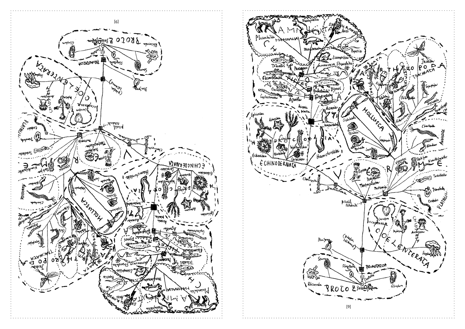

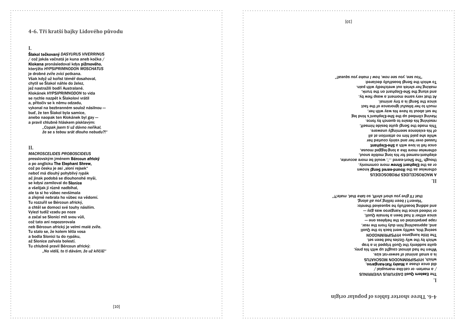*that I'll give you short shrift, so take that, mate?!"* 

#### **I.**

#### The Eastern Quoli DASYURUS VIVERRINUS / a marten- or cat-like marsupial / did once chase a **Musky Rat-kangaroo**, Which, HYPSIPRIMINDODOM MOSCHATUS is a small animal of sewer-rat size. Mueu ue use singur cangur nb miru uia his his pre quite suddenly the Quoll tripped in a trap which by the will Ozies had been set. *Hitle kangaroo HYPSIPRIMMODON* seeing this, swittly went back to the Quoll and, approaching him duly from the rear, rape perpetrated on the helpless one since either it had been a female Quoll,

or indeed since the kangaroo was gay and adding boastfully he squeaked thereto: *"Haven't I been telling you all along,* 

#### **II.**

#### A MACROSCELIDES PROBOSCIDEUS otherwise as the Round-eared Sengl known or as the **Elephant Shrew** more commonly, though 'The Short-eared ...', would be more accurate, elephant-named for his long mobile snout, other fiell in love lithe a long-Elephant<br>otherwise more like a long-legged mouse, fussed over her and vainly courted her while she paid him no attention at all of his existence seemingly unaware. This made the Sengi quite beside himself, resolving his desire to quench by force. Having climbed np the She-Flebhand ieg he set about to have his way with her, much to her blissilu ignorance of the fact since the Sengi is a tiny animal. At that very same moment a wasp flew by, and stung the She-Elephant on the trunk, making her shriek out wretchedly with pain. To which the Sengi boastfully declared:

*"You see, you see now, how I make you squeal!"* 

#### **4-6. Ti kratší bajky Lidového pvodu**

### **I.**

**II.** 

**Slakol tečkovaný** DASYURUS VIVERRINUS  $\hspace{0.1mm}$   $\hspace{0.1mm}$  což jakás vačnatá je kuna aneb koč Klokana pronásledoval kdys pižmového, kterýžto *HYPSIPRIMNODON MOSCHATUS* je drobné zvíře zvící potkana. Však když už kořist téměř dosahoval. chytil se Šlakol náhle do želez, jež nastražili bodří Australané. Klokánek *HYPSIPRIMNODON* to vida se rychle nazpět k Šlakolovi vrátil a, přitočiv se k němu odzadu, vykonal na bezbranném soulož násilnou buď, že ten Šlakol byla samice. anebo naopak ten Klokánek byl gay a pravil chlubně hláskem pisklavým: *"Copak jsem ti už dávno neíkal, že se s tebou srát dlouho nebudu?!"* 

*MACROSCELIDES PROBOSCIDEUS* presslovským jménem **Bércoun africký** a po anglicku **The Elephant Shrew,** což po česku je asi "sloní rejsek" neboť má dlouhý pohyblivý rypák ač jinak podobá se dlouhonohé myši, se kdysi zamiloval do **Slonice** a všelijak jí různě nadbíhal, ale ta si ho vůbec nevšímala a zřejmě nebrala ho vůbec na vědomí. Tu rozzuřil se Bércoun africký, a chtěl se domoci své touhy násilím. Vylezl tudíž vzadu po noze a začal se Slonicí mít svou vůli, což tato ani nepozorovala

neb Bércoun africký je velmi malé zvíe. Tu stalo se, že kolem létla vosa a bodla Slonici tu do rypáku, až Slonice zařvala bolestí. Tu chlubně pravil Bércoun africký:

"No vidíš, to ti dávám, že už křičíš!"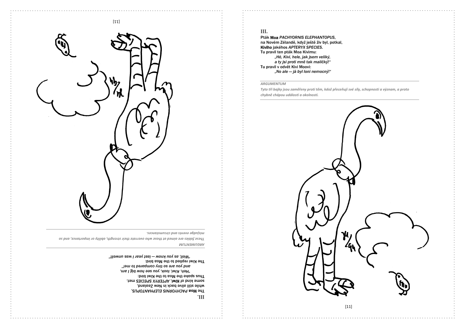

*misjudge events and circumstances.* 

*ARGUMENTUM These fables are aimed at those who overrate their strength, ability or importance, and so* 

**III. The Moa PACHYORNIS ELEPHANTOPUS,** while still alive back in New Zealand, some kind of **Kiwi**, APTERYX SPECIES met. Thus spake the Moa to the Kiwi bird: *"Heh, Kiwi, look, you see how big I am, and you are so tiny compared to me!"*  The Kiwi replied to the Moa bird: *"Well, as you know — last year I was unwell!"* 

 $\sim$   $\sim$   $\sim$   $\sim$ 

#### **III.**

Pták Moa PACHYORNIS ELEPHANTOPUS, na Novém Zélandě, když ještě živ byl, potkal, Kiviho jakéhos *APTERYX SPECIES*. Tu pravil ten pták Moa Kivimu: *"Hé, Kivi, hele, jak jsem veliký, a ty jsi proti mně tak maličký!"* Tu pravil v odvět Kivi Moovi: *"No ale — já byl loni nemocný!"* 

#### *ARGUMENTUM*

Tyto tři bajky jsou zaměřeny proti těm, kdož přeceňují své síly, schopnosti a význam, a proto *chybn chápou události a okolnosti.* 

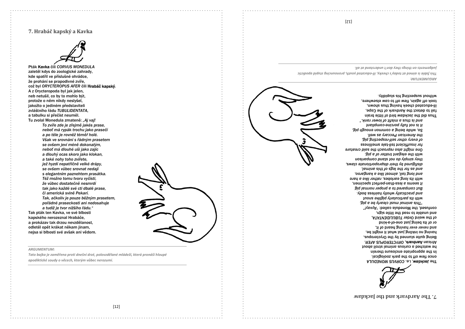#### **7. The Aardvark and the Jackdaw**



**The Jackdaw**, i.e. CORVUS MONEDULA once flew off to the park zoological. In the appropriate enclosure therein he watched a curious animal stroll about **ATTICAN ABTOVATK, URYCTERUPUS AFER.** Being quite stunned by the Orycteropus, having no inkling just what it might be, and never ever having heard of it, or of its being just one-of-a-kind of the weird Order TUBULIDENTATA, and unable to read the little sign, contused, the Monedula called: "**Ayvay!**" *"This animal must clearly be a pig, with its particularly piglike snout and practically wholly hairless body. But compared to a proper normal pig it seems a less-than-perfect specimen, with its long earlobes, rather like a hare and long tail, almost like a kangaroo, and as for the legs of this animal, disfigured by their disproportionate claws, they simply do not stand comparison with the elegant trotter of a pig. One might also reproach the said creature for insufficient tell-tale smelliness of every other self-respecting pig, the American Peccary as well. So, while being a common enough pig, it is not fully porcine-compliant and is thus a misfit of lower rank."*  Thus did the Jackdaw bird of little brain fail to detect the Aardvark of the Cape,

ill-educated cheek having thus shown, took off again, flew off to caw elsewhere, without suspecting his stupidity.

#### *ARGUMENTUM:*

*This fable is aimed at today's cheeky, ill-educated youth, pronouncing stupid apodictic judgements on things they don't understand at all.* 

 $[7I]$ 

**7. Hrabá kapský a Kavka** 



Pták **Kavka** čili CORVUS MONEDULA zaletěl kdys do zoologické zahrady, kde spatřil ve příslušné ohrádce, že prohání se prapodivné zvíe, což byl *ORYCTEROPUS AFER* čili **Hrabáč kapský**. A z Orycteropoda byl jak jelen, neb netušil, co by to mohlo být, protože o něm nikdy neslyšel, jakožto o jediném představiteli zvláštního řádu **TUBULIDENTATA**, a tabulku si přečíst neuměl. Tu zvolal Monedula zmateně: "Aj vaj! *To zvíe zde je zejm jakés prase, neboť má rypák trochu jako prasečí a po tle je rovnž tém holé. Však ve srovnání s ádným prasetem*  se ovšem jeví méně dokonalým, *nebo má dlouhé uši jako zajíc a dlouhý ocas skoro jako klokan, a také nohy toho zvíete, jež hyzdí nepatřičně velké drápy, se ovšem vbec srovnat nedají s elegantním paznehtem prasátka. Též možno tomu tvoru vy-ísti, že vbec dostate-n nesmrdí tak jako každé své cti dbalé prase,*  či americká svině Pekarí. *Tak, a-koliv je pouze bžným prasetem, poádné praseckosti ani nedosahuje a tudíž je tvor nižšího ádu."*  Tak pták ten Kavka, ve své blbosti kapského nerozeznal Hrabáče, a prokázav tak drzou nevzdělanost. odletěl opět krákat někam jinam, nejsa si blbosti své avšak ani vědom.



*Tato bajka je zaměřena proti dnešní drzé, polovzdělané mládeži, která pronáší hloupé apodiktické soudy o vcech, kterým vbec nerozumí.*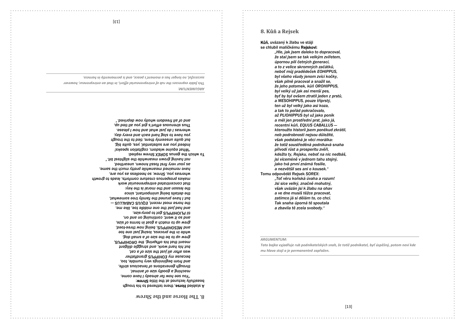### **8. K a Rejsek**

Kůň, uvázaný k žlabu ve stáji se chlubil maličkému **Rejskovi**: *"Hle, jak jsem daleko to dopracoval, že stal jsem se tak velkým zvíetem,*  úpornou pílí četných generací, *a to z velice skromných začátků, neboť můj pradědeček EOHIPPUS, byl všeho všudy jenom zvící kočky,* však pilně pracoval a snažil se,  $\check{z}$ e jeho potomek, kůň OROHIPPUS, *byl velký už jak asi menší pes,*  byť by byl ovšem ztratil jeden z prstů, *a MESOHIPPUS, pouze típrstý, ten už byl velký jako asi koza, a tak to pořád pokračovalo, až PLIOHIPPUS byl už jako poník a ml jen prostední prst, jako já,*  recentní kůň. EQUUS CABALLUS *kteroužto historii jsem ponkud zkrátil, neb podrobnosti nejsou dležité,*  však podstatná je věci morálka:  $\check{z}$ e totiž soustředěná podnikavá snaha přivodí růst a prosperitu zvěři, *kdežto ty, Rejsku, neboť na nic nedbáš, jsi vícemén v jednom tahu stejný, jako tvá první známá fosilie, a nezvtšil ses ani o kousek."*  Tomu odpověděl Rejsek SOREX: "Toť věru koňská úvaha a rozum! *Jsi sice velký, značně mohutný, však uvázán jsi k žlabu na ohav a ve dne musíš tžce pracovat,*  zatímco já si dělám to, co chci. **Tak snaha úporná tě spoutala** a zbavila tě zcela svobody."

*ARGUMENTUM:* 

Tato bajka vyjadřuje rub podnikatelských snah, že totiž podnikatel, byť úspěšný, potom neví kde *mu hlava stojí a je permanentně zapřažen.* 

 $[5]$ 

*ARGUMENTUM: This fable expresses the rub of entrepreneurial effort, in that an entrepreneur, however successful, no longer has a moment's peace, and is permanently in harness.* 

> A stabled Horse, there tethered to his rough boastfully lectured at the little Shrew: *"You see how far already I have come, reaching a goodly size of animal, through generations of tenacious strife, and from beginnings very humble, too, because my EOHIPPUS grandfather was after all just the size of a cat, but his hard work, and struggle diligent meant that his offspring, the OROHIPPUS, grew up to be the size of a small dog, while in the process, losing just one toe and MESOHIPPUS, being now three-toed, grew up to match a goat in terms of size, and so it went, continuing on and on, til PLIOHIPPUS got to pony-size, and had just the one middle toe, like me, the horse most recent, EQUUS CABALLUS but I have pruned the family tree somewhat, the details being unimportant, since the lesson and the moral is the key: that concentrated entrepreneurial work makes prosperous creature comforts, leads to growth whereas you, Shrew, so heedless as you are, have remained meanwhile pretty much the same, as your very first fossil known, unearthed, not having grown meanwhile the slightest bit."*  To which the genus SOREX Shrew replied: *"What equine wisdom, cogitation speaks! Indeed you are substantial, yes, quite big, but quite unseemly there, tied to the trough you have to slog hard each and every day, whereas I do just what and how I please. Thus strenuous effort's got you all tied up, and of all freedom wholly now deprived."*

#### **8. The Horse and the Shrew**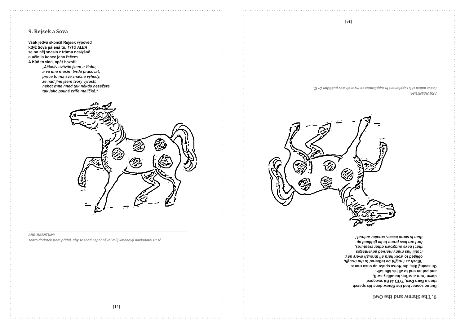

But no sooner had the Shrew done his speech **b** badoows A81A OTYT , nwO msa s ns h down from a rafter, inaudibly swift, and put an end to all his idle talk. On seeing this, the Horse spake up once more: *"Much as I might be tethered to the trough, obliged to work hard all through every day, it still has many marked advantages that I have outgrown other creatures, for I am less prone to be gobbled up than is some lesser, smaller animal."* 



*ARGUMENTUM: I have added this supplement in supplication to my mainstay publisher Dr IŽ.* 

*ARGUMENTUM:* 

*Tento dodatek jsem přidal, aby se snad nepohněval můj kmenový nakladatel Dr IŽ.* 

[14]

Však jedva skončil **Rejsek** výpověď když Sova pálená tu, *TYTO ALBA* se na něj snesla z trámu neslyšně a učinila konec jeho řečem. A Kůň to vida, opět hovořil: *"A-koliv uvázán jsem u žlabu, a ve dne musím tvrd pracovat,*  přece to má své značné výhody, *že nad jiné jsem tvory vyrostl,* 

*nebo mne hned tak nkdo nesežere* 

tak jako pouhé zvíře maličké."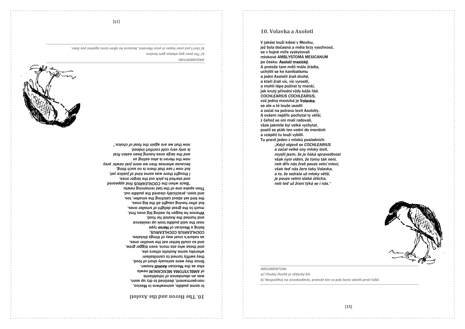**10. Volavka a Axolotl** 

V jakési louži kdesi v Mexiku, jež byla dočasná a měla brzy vyschnout, se v hojné míe vyskytovali mlokové AMBLYSTOMA MEXICANUM po česku: **Axoloti mexický**. A protože tam měli málo žrádla, uchýlili se ke kanibalismu a jedni Axolotli žrali druhé, a kteří žrali víc, víc vyrostli, a mohli lépe požírat ty menší, jak krutý přírodní vždy káže řád. *COCHLEARIUS COCHLEARIUS*, což jedna mexická je Volavka, se ale u té louže usadil a začal na potravu lovit Axolotly. A ovšem nejdřív pochytal ty větší, z čehož se oni malí radovali, však jakmile byl velké vychytal, pustil se pták ten vodní do menších a vzápětí tu louži vybílil. Tu pravil jeden z mloků posledních:

*"Když objevil se COCHLEARIUS a za-al velké ony mloky lovit, myslil jsem, že je áká spravedlnost však nyní vidím, že tomu tak není, neb dív nás žrali pouze velcí mloci, však te nás žere taky Volavka, a to, že sežrala už mloky vtší, je pouze velmi slabá útěcha, neb te už žraní týká se i nás."* 

#### *ARGUMENTUM:*

a/ Chudej člověk je vždycky bit.

b/ Nespoléhej na osvoboditele, protože ten se pak často obrátí proti tobě.

 $[5]$ 

*a/ The poor guy always gets beaten. b/ Don't put your hopes in your liberator, because he often turns against you later.* 

*ARGUMENTUM:* 



In some bngpe; somewhere in Mexico, non-permanent, destined to dry up soon, was an abundance of inhabitant of AMBLYSTOMA MEXICANUM newts else as the Mexican Axoloti known. Since they were seriously short of food, tus awittly turned to cannibalism whereby some Axolotls others ate, and those who ate more, even bigger grew, and so could better eat the smaller ones, as nature's cruel way of things dictates. COCHLEARIUS COCHLEARIUS, being a Mexican of Heron type near the said puddle took up residence and hunted the Axolotl for food. Whence he began by eating big ones first, much to the great delight of smaller ones, but after having caught all the big ones, the bird set about catching the smaller, too, and soon, practically cleared the puddle out. Then spake one of the last remaining newts: *"Back when the COCHLEARIUS first appeared and started to pick out the larger ones, I thought there was some kind of justice yet, but now I see that there is no such thing, because whereas then we were just newts' prey now the Heron is also eating us and the large ones having been eaten first is only very cold comfort indeed, now that we are again the food of choice."* 

**10. The Heron and the Axolotl**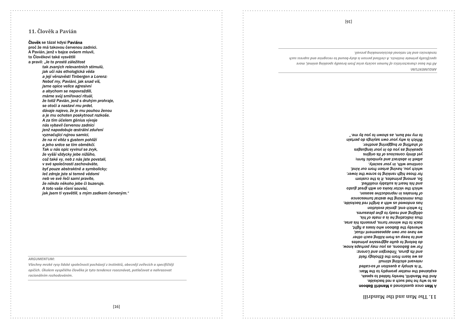*tendencies and let rational decisionmaking prevail.* 

*ARGUMENTUM: All the base characteristics of human society arise from broadly speaking animal, more specifically primate instincts. A civilised person is duty-bound to recognise and supress such* 

> And the Mandrill, hereby fabled to speak, explained the matter promptly to the Man: *"It is simply a question of so-called relevant eliciting stimuli as we learn from the Ethology field and its gurus, Tinbergen and Lorenz: For we Baboons, as you may perhaps know, do belong to quite aggressive primates and to keep us from killing each other we have our own appeasement ritual, whereby the Baboon who loses a fight, back to the winner turns, presents his arse, thus indicating he is a mate of his, obliging and ready to give pleasures. To which end, genial evolution has endowed us with a bright red backside, thus mimicking the œstral tumescence of females in reproductive season, which the victor looks on with great gusto and his heart is suitably mollified. So, among primates, it is the custom for those high ranking to screw the lower, which you, having arisen from our kind, continue with, in your society, albeit in abstract and symbolic form; yet dimly conscious of its origins speaking as you do in your languages of shafting or buggering another. Which is why your own sayings do pertain to my red bum, as shown to you by me."*

# **1. The Man and the Mandrill Baboon<br>And Man Man Mandrill Baboon<br>A Man Once questioned a Mandrill Baboon**

as to why he had such a red backside.

Všechny mrzké rysy lidské společnosti pocházejí z instinktů, obecněji zvířecích a specifičtěji opičích. Úkolem vyspělého člověka je tyto tendence rozeznávat, potlačovat a nahrazovat *racionálním rozhodováním.* 

*ARGUMENTUM:* 

#### 11. Člověk a Pavián

**Clověk** se tázal kdysi **Pavlána** 

proč že má takovou červenou zadnici. A Pavián, jenž v bajce ovšem mluvil, to Člověkovi také vysvětlil a pravil: "Je to prostě záležitost *tak zvaných relevantních stimul, jak učí nás ethologická věda* a její věrozvěsti Tinbergen a Lorenz: *Nebo my, Paviáni, jak snad víš, jsme opice velice agresivní a abychom se nepovraždili, máme svj smiovací rituál, že totiž Pavián, jenž s druhým prohraje, se oto-í a nastaví mu prdel, dávaje najevo, že je mu pouhou ženou a je mu ochoten poskytnout rozkoše. A za tím ú-elem génius vývoje nás vybavil -ervenou zadnicí jenž napodobuje œstrální zduření vyzna-ující rujnou samici, že na ni vítz s gustem pohlíží*  a jeho srdce se tím obměkčí. *Tak u nás opic vyvinul se zvyk, že vyšší vždycky jebe nižšího, což také vy, neb z nás jste povstali, v své spole-nosti zachováváte,*  byť pouze abstraktně a symbolicky: *leč zdroje jste si temně vědomi neb ve své e-i sami pravíte, že někdo někoho jebe či buzeruje. A toto vaše r-ení souvisí, jak jsem ti vysvětlil, s mým zadkem červeným."*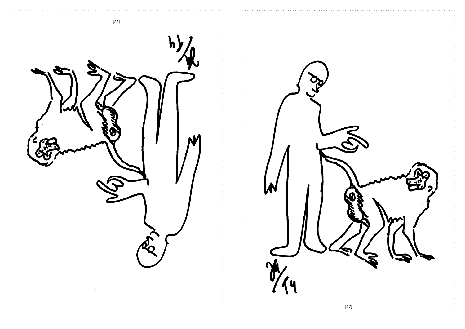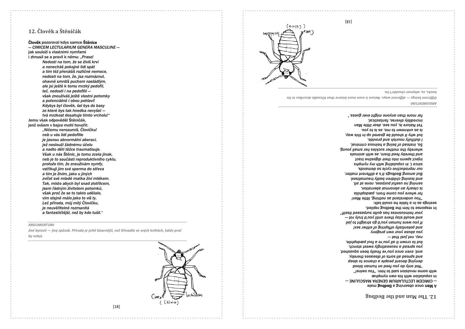## a mudu ku uwo sina dalama kata ya matsa A Man once observing a Bedbug male T. The Man and the Bedbug

uno cot si se la cot nuvou annos es yew sint ni qu bərsəğ əd bluona ti yaw tud. l dutifully nourish and provide, So, instead of being a heinous criminal, whereby the mother suckles her small young. alemins diw ze mont, as with animals inject sperm into their digestive tract sudw Au uum Sunemdoo ul 'i aouis our reproductive cycle so demands, But among Bedbugs it's a different matter, and reaving cnitation pagiy traumatised. e unus uo neeuni bnibose' uoue si sii' Is clearly an apnormal aberration, for where you come from, pædophilia "rou understand as nothing, little Man! Seengs as in a taple ne could talk: In response to him the Bedbug replied, your heinousness has quite surpassed itself!" sug monig zta) there nutil *hon.g tinil* rot -If you were human you'd go straight to Jail and potentially offspring of either sex! Non spnze Non, оми brogeny - Jeul Jsnl Jou 'Keu but to crown it all you're a foul pædophile, pousage a pears figuite as the steuch, and, even once you've finally been squashed, and spread all socra of diseases thereby, deels of eccent beoble a cuance to sleeb poold nemul no beet uoy op yino toW" "jeniws uoY" : min of bisa noialuver amos diiw  $-$  CIMICEM LECTULARIUM GENERA MASCULINE  $-$ 

tar more than anyone might ever guess."

Yet Nature is, you see, dear little Man

increatibly alverse, rantastical,

## **ARGUMENTUM:**

эц 1.upinous Jananum 'os 'syood' Different beings — different ways. Nature is even more bizarre than Kresadlo describes in his

 $[RL]$ 



## 12. Člověk a Štěničák

Člověk pozoroval kdys samce Štěnice - CIMICEM LECTULARIUM GENERA MASCULINE jak souloží s vlastními nymfami i zhnusil se a pravil k němu: "Prase! Nedosti na tom, že se živíš krví a nenecháš pokojné lidi spát a tím též přenášíš rozličné nemoce, nedosti na tom, že, jsa rozmáznut, ohavně smrdíš puchem nasládlým, ale jsi ještě k tomu mrzký pedofil, leč. nedosti i na pedofilii však zneužíváš ještě vlastní potomky a potenciálně i obou pohlaví! Kdybys byl člověk, šel bys do basy ze které bys tak hnedka nevyšel tvá mrzkost dosahuje tímto vrcholu!" Jemu však odpověděl Štěničák, jenž ovšem v bajce mohl hovořit: "Ničemu nerozumíš. Človíčku! neb u vás lidí pedofilie je jasnou abnormální aberací, jež neslouží žádnému účelu a nadto děti těžce traumatisuje. Však u nás Štěnic, je tomu zcela jinak, neb je to součástí reproduktivního cvklu. protože tím. že zneužívám nymfy. vstřikují jim své sperma do střeva a tím je živím, jako u jiných zvířat své mladé matka živí mlékem. Tak, místo abvch byl snad zlotřilcem. isem řádným živitelem potomků. však proč že se to takto udělalo,

vím stejně málo jako to víš ty.

Leč příroda, můj milý Človíčku.

a fantastičtější, než by kdo tušil."

je neuvěřitelně rozmanitá

#### ARGUMENTUM:

Jiné bytosti - jiný způsob. Příroda je ještě bizarnější, než Křesadlo ve svých knihách, takže proč by nebyl.